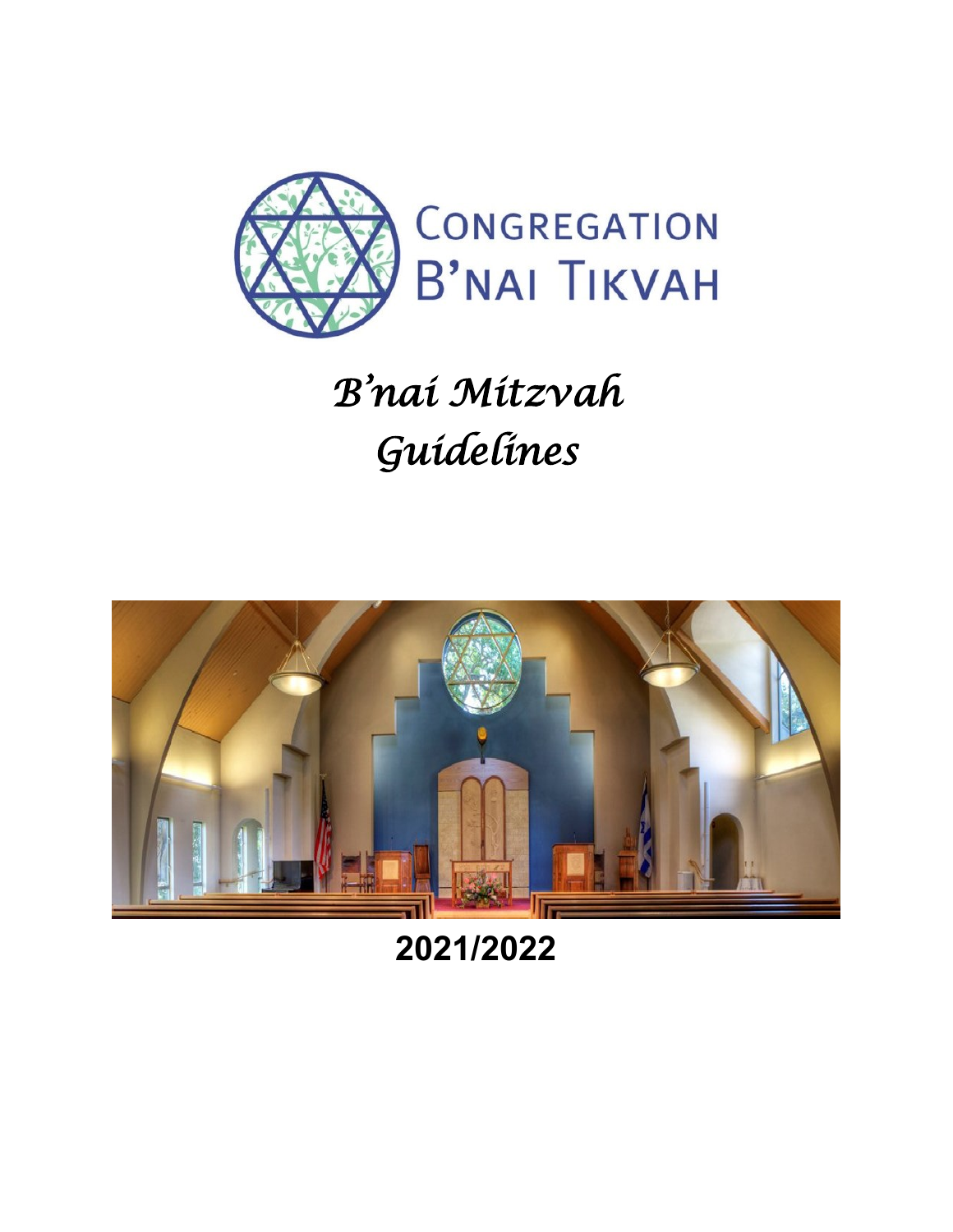

# *B'nai Mitzvah Guidelines*



**2021/2022**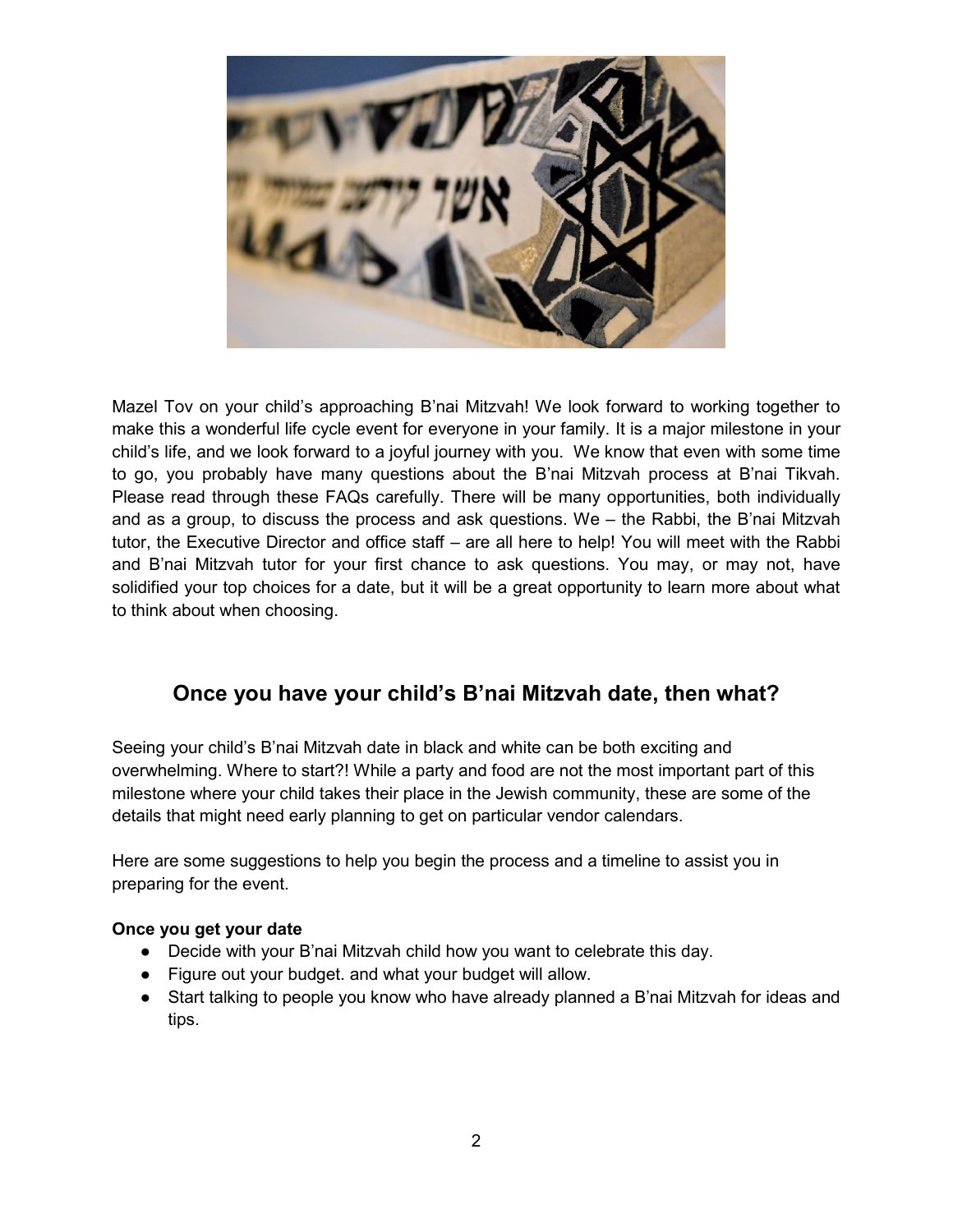

Mazel Tov on your child's approaching B'nai Mitzvah! We look forward to working together to make this a wonderful life cycle event for everyone in your family. It is a major milestone in your child's life, and we look forward to a joyful journey with you. We know that even with some time to go, you probably have many questions about the B'nai Mitzvah process at B'nai Tikvah. Please read through these FAQs carefully. There will be many opportunities, both individually and as a group, to discuss the process and ask questions. We – the Rabbi, the B'nai Mitzvah tutor, the Executive Director and office staff – are all here to help! You will meet with the Rabbi and B'nai Mitzvah tutor for your first chance to ask questions. You may, or may not, have solidified your top choices for a date, but it will be a great opportunity to learn more about what to think about when choosing.

# **Once you have your child's B'nai Mitzvah date, then what?**

Seeing your child's B'nai Mitzvah date in black and white can be both exciting and overwhelming. Where to start?! While a party and food are not the most important part of this milestone where your child takes their place in the Jewish community, these are some of the details that might need early planning to get on particular vendor calendars.

Here are some suggestions to help you begin the process and a timeline to assist you in preparing for the event.

#### **Once you get your date**

- Decide with your B'nai Mitzvah child how you want to celebrate this day.
- Figure out your budget. and what your budget will allow.
- Start talking to people you know who have already planned a B'nai Mitzvah for ideas and tips.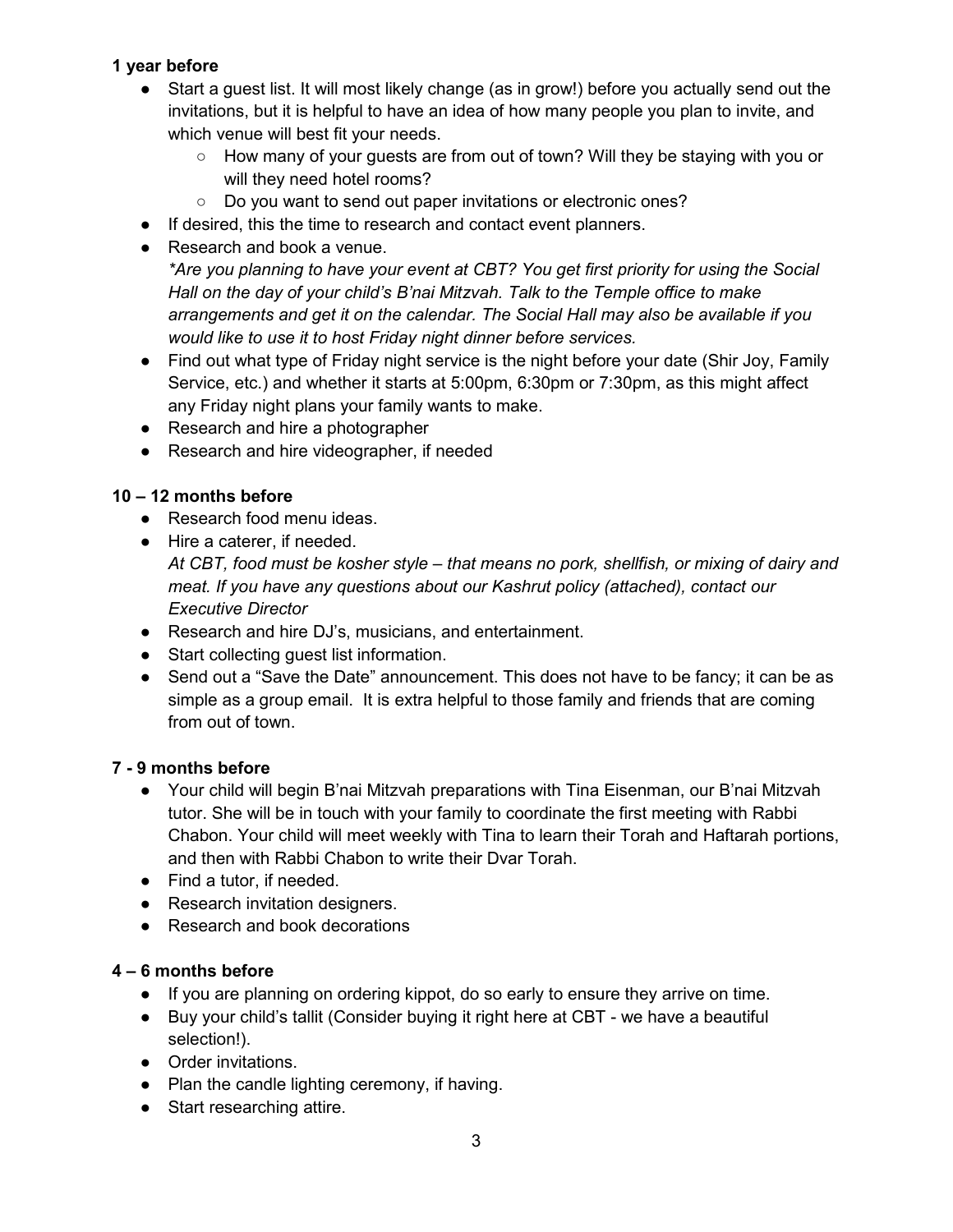# **1 year before**

- Start a guest list. It will most likely change (as in grow!) before you actually send out the invitations, but it is helpful to have an idea of how many people you plan to invite, and which venue will best fit your needs.
	- How many of your quests are from out of town? Will they be staying with you or will they need hotel rooms?
	- Do you want to send out paper invitations or electronic ones?
- If desired, this the time to research and contact event planners.
- Research and book a venue.

*\*Are you planning to have your event at CBT? You get first priority for using the Social Hall on the day of your child's B'nai Mitzvah. Talk to the Temple office to make arrangements and get it on the calendar. The Social Hall may also be available if you would like to use it to host Friday night dinner before services.*

- Find out what type of Friday night service is the night before your date (Shir Joy, Family Service, etc.) and whether it starts at 5:00pm, 6:30pm or 7:30pm, as this might affect any Friday night plans your family wants to make.
- Research and hire a photographer
- Research and hire videographer, if needed

# **10 – 12 months before**

- Research food menu ideas.
- Hire a caterer, if needed.
	- *At CBT, food must be kosher style – that means no pork, shellfish, or mixing of dairy and meat. If you have any questions about our Kashrut policy (attached), contact our Executive Director*
- Research and hire DJ's, musicians, and entertainment.
- Start collecting guest list information.
- Send out a "Save the Date" announcement. This does not have to be fancy; it can be as simple as a group email. It is extra helpful to those family and friends that are coming from out of town.

# **7 - 9 months before**

- Your child will begin B'nai Mitzvah preparations with Tina Eisenman, our B'nai Mitzvah tutor. She will be in touch with your family to coordinate the first meeting with Rabbi Chabon. Your child will meet weekly with Tina to learn their Torah and Haftarah portions, and then with Rabbi Chabon to write their Dvar Torah.
- Find a tutor, if needed.
- Research invitation designers.
- Research and book decorations

# **4 – 6 months before**

- If you are planning on ordering kippot, do so early to ensure they arrive on time.
- Buy your child's tallit (Consider buying it right here at CBT we have a beautiful selection!).
- Order invitations.
- Plan the candle lighting ceremony, if having.
- Start researching attire.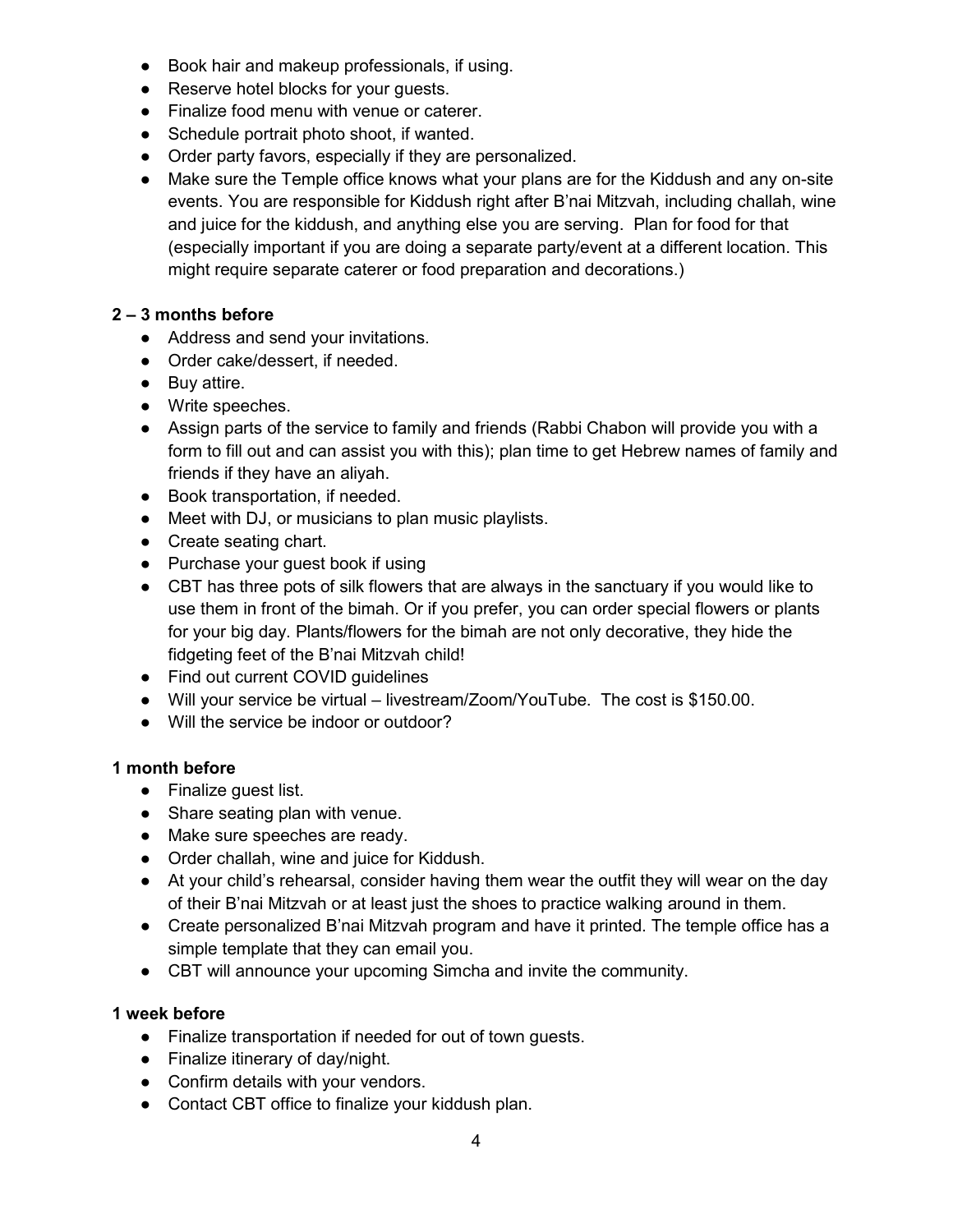- Book hair and makeup professionals, if using.
- Reserve hotel blocks for your guests.
- Finalize food menu with venue or caterer.
- Schedule portrait photo shoot, if wanted.
- Order party favors, especially if they are personalized.
- Make sure the Temple office knows what your plans are for the Kiddush and any on-site events. You are responsible for Kiddush right after B'nai Mitzvah, including challah, wine and juice for the kiddush, and anything else you are serving. Plan for food for that (especially important if you are doing a separate party/event at a different location. This might require separate caterer or food preparation and decorations.)

# **2 – 3 months before**

- Address and send your invitations.
- Order cake/dessert, if needed.
- Buy attire.
- Write speeches.
- Assign parts of the service to family and friends (Rabbi Chabon will provide you with a form to fill out and can assist you with this); plan time to get Hebrew names of family and friends if they have an aliyah.
- Book transportation, if needed.
- Meet with DJ, or musicians to plan music playlists.
- Create seating chart.
- Purchase your guest book if using
- CBT has three pots of silk flowers that are always in the sanctuary if you would like to use them in front of the bimah. Or if you prefer, you can order special flowers or plants for your big day. Plants/flowers for the bimah are not only decorative, they hide the fidgeting feet of the B'nai Mitzvah child!
- Find out current COVID quidelines
- Will your service be virtual livestream/Zoom/YouTube. The cost is \$150.00.
- Will the service be indoor or outdoor?

# **1 month before**

- Finalize guest list.
- Share seating plan with venue.
- Make sure speeches are ready.
- Order challah, wine and juice for Kiddush.
- At your child's rehearsal, consider having them wear the outfit they will wear on the day of their B'nai Mitzvah or at least just the shoes to practice walking around in them.
- Create personalized B'nai Mitzvah program and have it printed. The temple office has a simple template that they can email you.
- CBT will announce your upcoming Simcha and invite the community.

# **1 week before**

- Finalize transportation if needed for out of town guests.
- Finalize itinerary of day/night.
- Confirm details with your vendors.
- Contact CBT office to finalize your kiddush plan.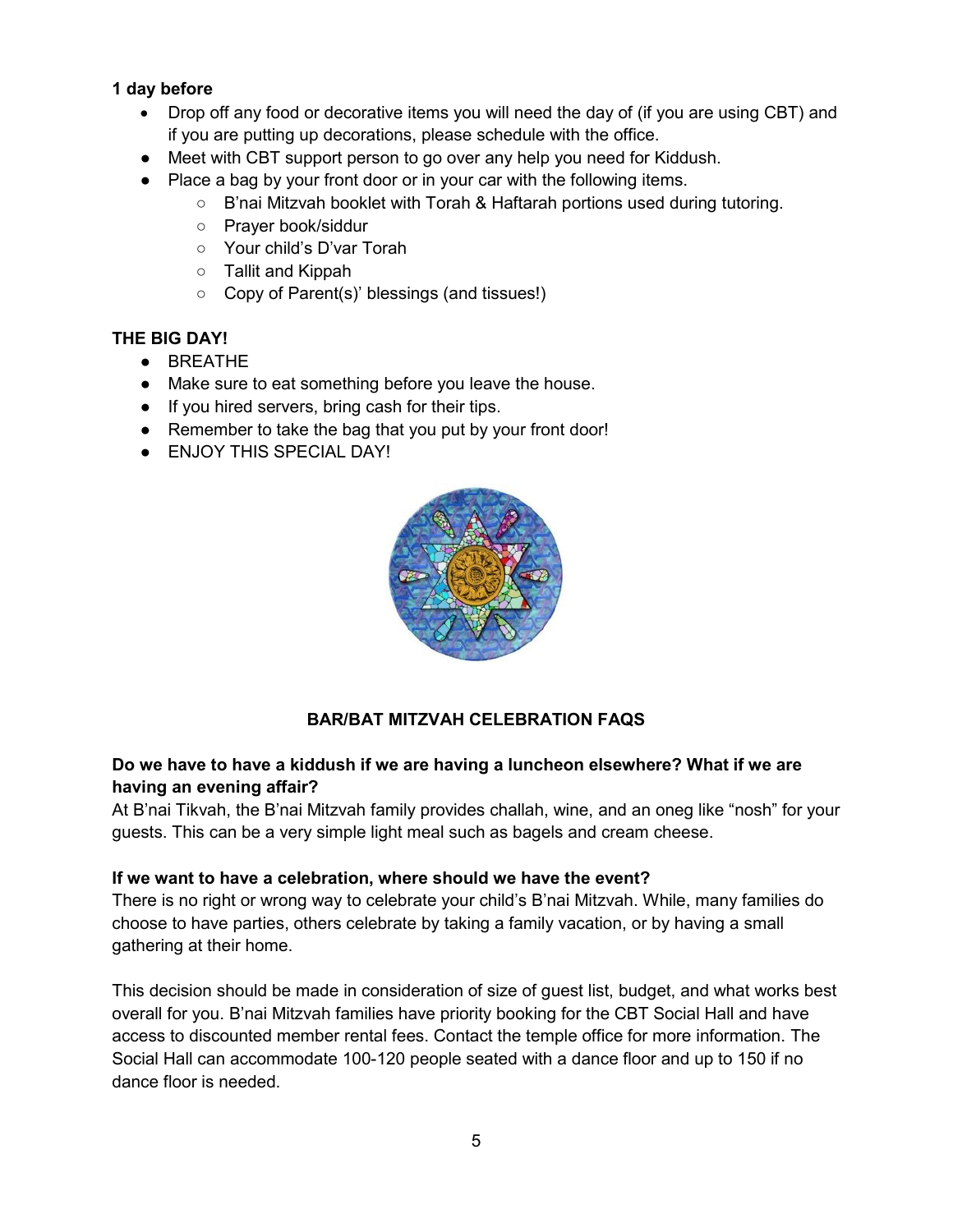#### **1 day before**

- Drop off any food or decorative items you will need the day of (if you are using CBT) and if you are putting up decorations, please schedule with the office.
- Meet with CBT support person to go over any help you need for Kiddush.
- Place a bag by your front door or in your car with the following items.
	- B'nai Mitzvah booklet with Torah & Haftarah portions used during tutoring.
	- Prayer book/siddur
	- Your child's D'var Torah
	- Tallit and Kippah
	- Copy of Parent(s)' blessings (and tissues!)

#### **THE BIG DAY!**

- BREATHE
- Make sure to eat something before you leave the house.
- If you hired servers, bring cash for their tips.
- Remember to take the bag that you put by your front door!
- **ENJOY THIS SPECIAL DAY!**



# **BAR/BAT MITZVAH CELEBRATION FAQS**

# **Do we have to have a kiddush if we are having a luncheon elsewhere? What if we are having an evening affair?**

At B'nai Tikvah, the B'nai Mitzvah family provides challah, wine, and an oneg like "nosh" for your guests. This can be a very simple light meal such as bagels and cream cheese.

#### **If we want to have a celebration, where should we have the event?**

There is no right or wrong way to celebrate your child's B'nai Mitzvah. While, many families do choose to have parties, others celebrate by taking a family vacation, or by having a small gathering at their home.

This decision should be made in consideration of size of guest list, budget, and what works best overall for you. B'nai Mitzvah families have priority booking for the CBT Social Hall and have access to discounted member rental fees. Contact the temple office for more information. The Social Hall can accommodate 100-120 people seated with a dance floor and up to 150 if no dance floor is needed.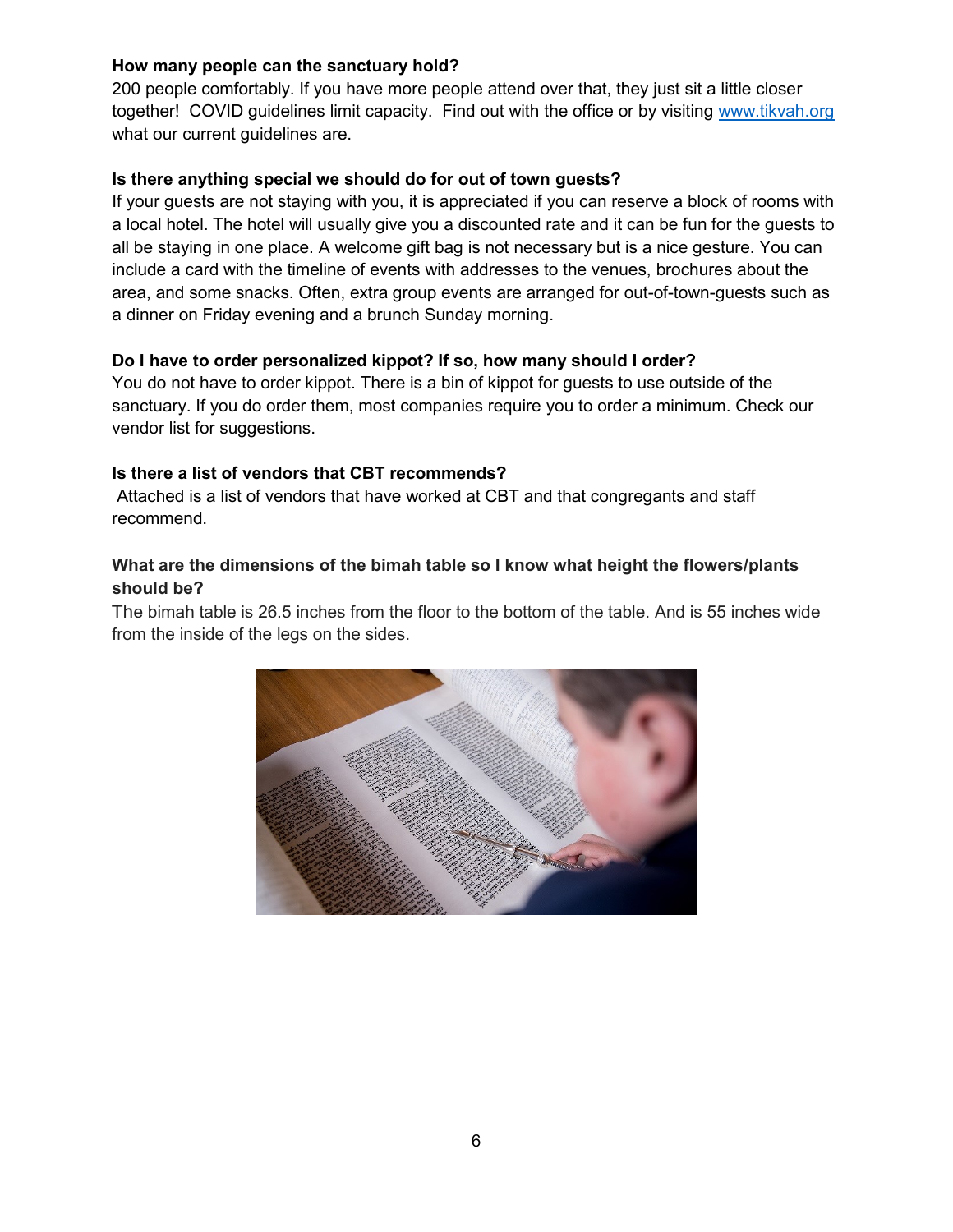#### **How many people can the sanctuary hold?**

200 people comfortably. If you have more people attend over that, they just sit a little closer together! COVID guidelines limit capacity. Find out with the office or by visiting [www.tikvah.org](http://www.tikvah.org/) what our current guidelines are.

#### **Is there anything special we should do for out of town guests?**

If your guests are not staying with you, it is appreciated if you can reserve a block of rooms with a local hotel. The hotel will usually give you a discounted rate and it can be fun for the guests to all be staying in one place. A welcome gift bag is not necessary but is a nice gesture. You can include a card with the timeline of events with addresses to the venues, brochures about the area, and some snacks. Often, extra group events are arranged for out-of-town-guests such as a dinner on Friday evening and a brunch Sunday morning.

#### **Do I have to order personalized kippot? If so, how many should I order?**

You do not have to order kippot. There is a bin of kippot for guests to use outside of the sanctuary. If you do order them, most companies require you to order a minimum. Check our vendor list for suggestions.

#### **Is there a list of vendors that CBT recommends?**

Attached is a list of vendors that have worked at CBT and that congregants and staff recommend.

#### **What are the dimensions of the bimah table so I know what height the flowers/plants should be?**

The bimah table is 26.5 inches from the floor to the bottom of the table. And is 55 inches wide from the inside of the legs on the sides.

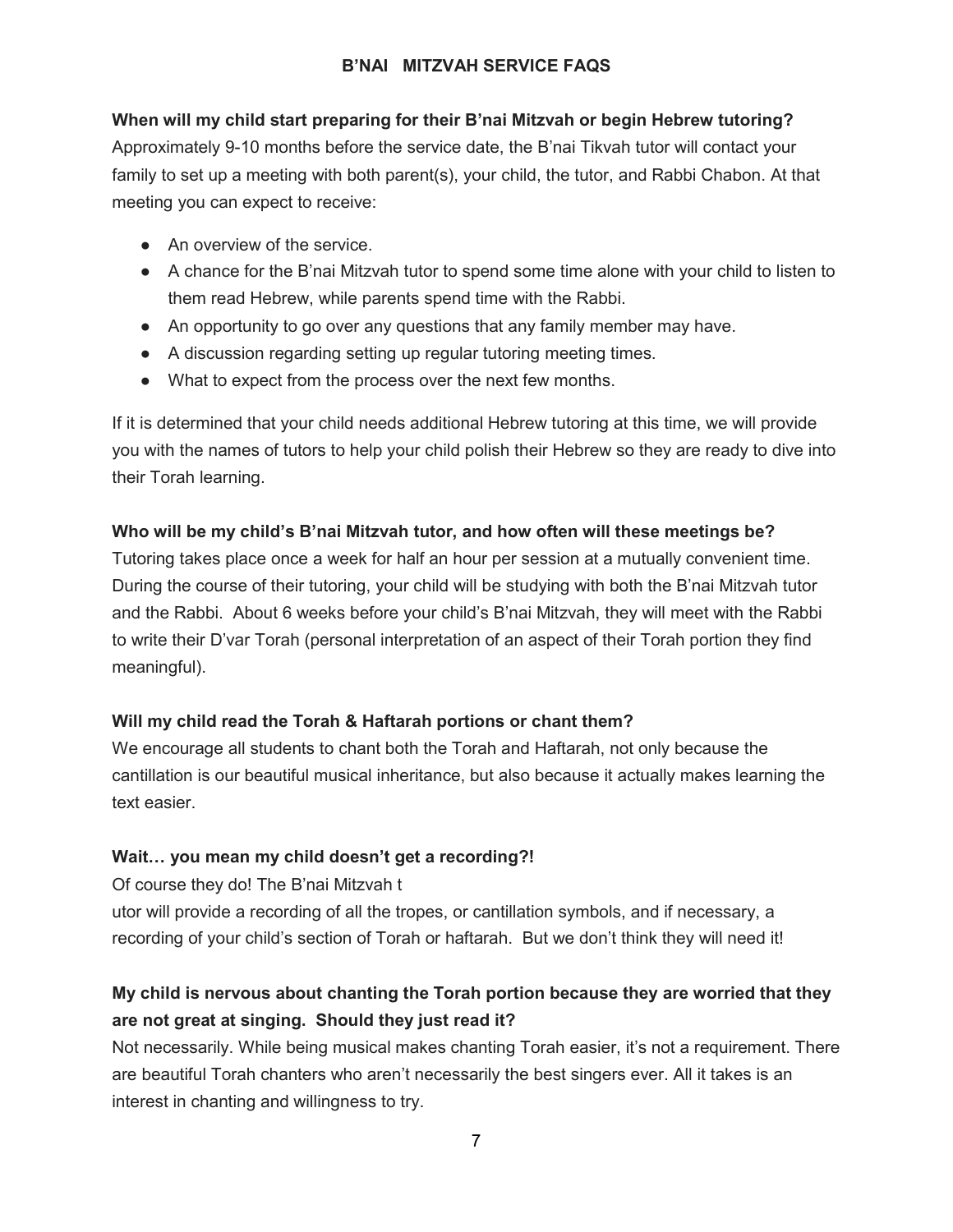# **B'NAI MITZVAH SERVICE FAQS**

# **When will my child start preparing for their B'nai Mitzvah or begin Hebrew tutoring?**

Approximately 9-10 months before the service date, the B'nai Tikvah tutor will contact your family to set up a meeting with both parent(s), your child, the tutor, and Rabbi Chabon. At that meeting you can expect to receive:

- An overview of the service.
- A chance for the B'nai Mitzvah tutor to spend some time alone with your child to listen to them read Hebrew, while parents spend time with the Rabbi.
- An opportunity to go over any questions that any family member may have.
- A discussion regarding setting up regular tutoring meeting times.
- What to expect from the process over the next few months.

If it is determined that your child needs additional Hebrew tutoring at this time, we will provide you with the names of tutors to help your child polish their Hebrew so they are ready to dive into their Torah learning.

# **Who will be my child's B'nai Mitzvah tutor, and how often will these meetings be?**

Tutoring takes place once a week for half an hour per session at a mutually convenient time. During the course of their tutoring, your child will be studying with both the B'nai Mitzvah tutor and the Rabbi. About 6 weeks before your child's B'nai Mitzvah, they will meet with the Rabbi to write their D'var Torah (personal interpretation of an aspect of their Torah portion they find meaningful).

# **Will my child read the Torah & Haftarah portions or chant them?**

We encourage all students to chant both the Torah and Haftarah, not only because the cantillation is our beautiful musical inheritance, but also because it actually makes learning the text easier.

# **Wait… you mean my child doesn't get a recording?!**

Of course they do! The B'nai Mitzvah t

utor will provide a recording of all the tropes, or cantillation symbols, and if necessary, a recording of your child's section of Torah or haftarah. But we don't think they will need it!

# **My child is nervous about chanting the Torah portion because they are worried that they are not great at singing. Should they just read it?**

Not necessarily. While being musical makes chanting Torah easier, it's not a requirement. There are beautiful Torah chanters who aren't necessarily the best singers ever. All it takes is an interest in chanting and willingness to try.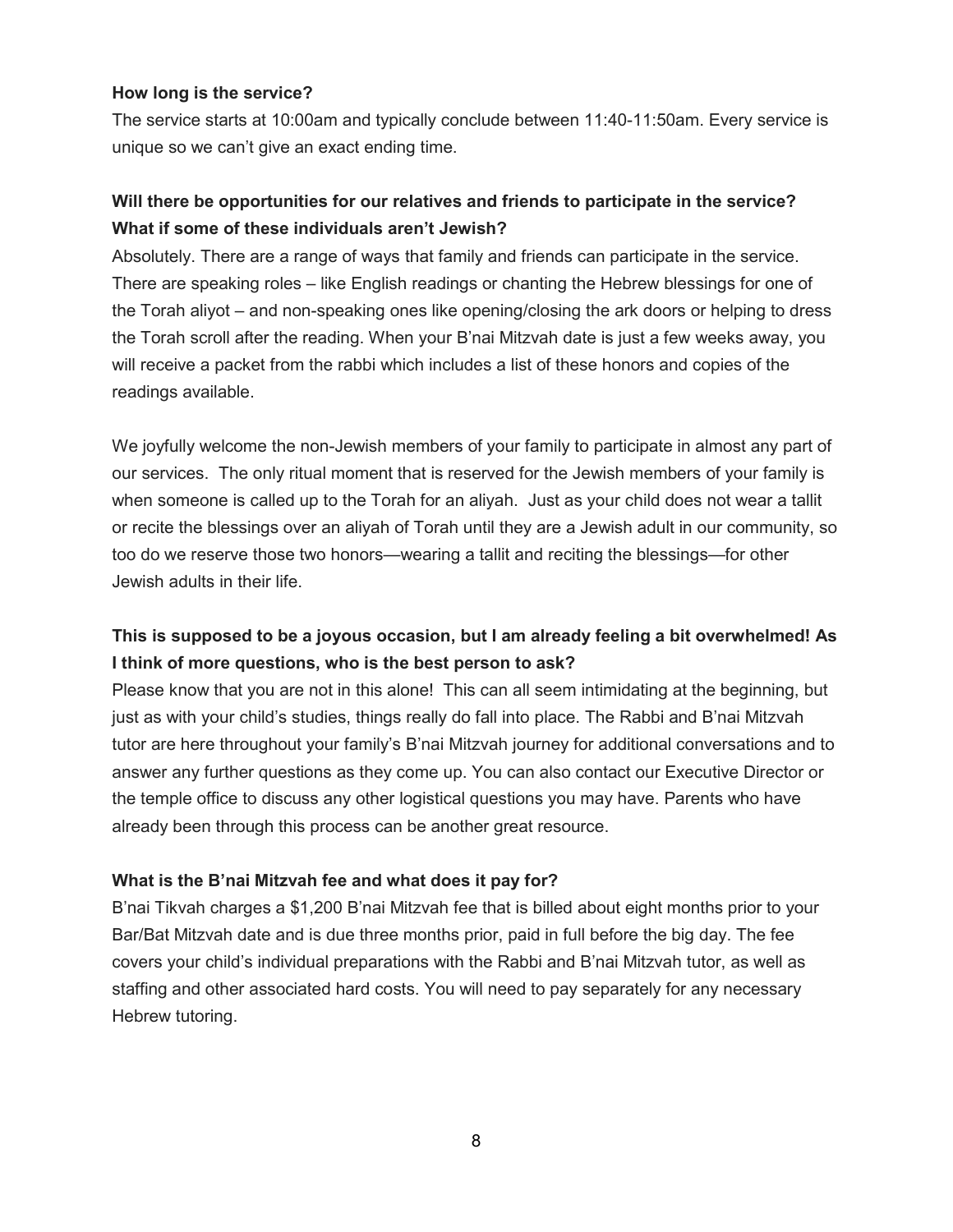#### **How long is the service?**

The service starts at 10:00am and typically conclude between 11:40-11:50am. Every service is unique so we can't give an exact ending time.

# **Will there be opportunities for our relatives and friends to participate in the service? What if some of these individuals aren't Jewish?**

Absolutely. There are a range of ways that family and friends can participate in the service. There are speaking roles – like English readings or chanting the Hebrew blessings for one of the Torah aliyot – and non-speaking ones like opening/closing the ark doors or helping to dress the Torah scroll after the reading. When your B'nai Mitzvah date is just a few weeks away, you will receive a packet from the rabbi which includes a list of these honors and copies of the readings available.

We joyfully welcome the non-Jewish members of your family to participate in almost any part of our services. The only ritual moment that is reserved for the Jewish members of your family is when someone is called up to the Torah for an aliyah. Just as your child does not wear a tallit or recite the blessings over an aliyah of Torah until they are a Jewish adult in our community, so too do we reserve those two honors—wearing a tallit and reciting the blessings—for other Jewish adults in their life.

# **This is supposed to be a joyous occasion, but I am already feeling a bit overwhelmed! As I think of more questions, who is the best person to ask?**

Please know that you are not in this alone! This can all seem intimidating at the beginning, but just as with your child's studies, things really do fall into place. The Rabbi and B'nai Mitzvah tutor are here throughout your family's B'nai Mitzvah journey for additional conversations and to answer any further questions as they come up. You can also contact our Executive Director or the temple office to discuss any other logistical questions you may have. Parents who have already been through this process can be another great resource.

#### **What is the B'nai Mitzvah fee and what does it pay for?**

B'nai Tikvah charges a \$1,200 B'nai Mitzvah fee that is billed about eight months prior to your Bar/Bat Mitzvah date and is due three months prior, paid in full before the big day. The fee covers your child's individual preparations with the Rabbi and B'nai Mitzvah tutor, as well as staffing and other associated hard costs. You will need to pay separately for any necessary Hebrew tutoring.